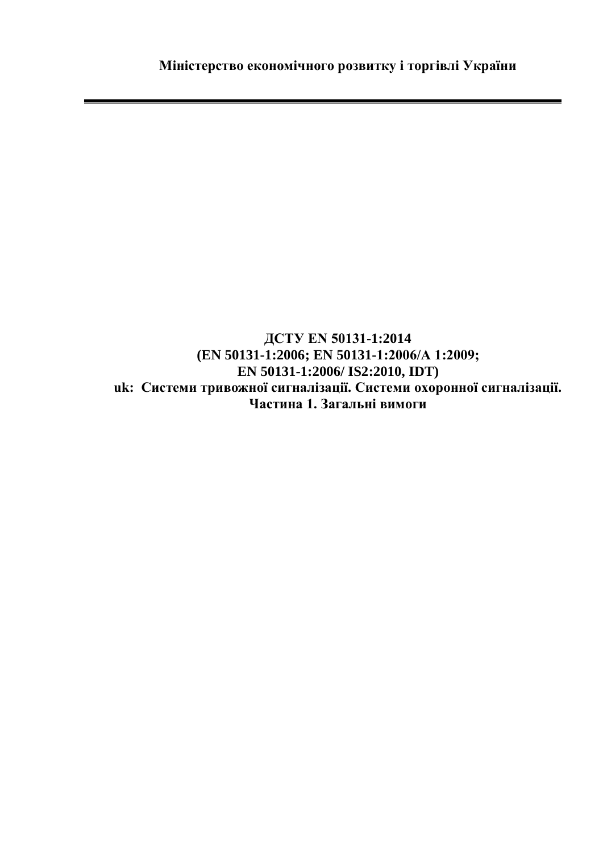**ДСТУ EN 50131-1:2014 (EN 50131-1:2006; EN 50131-1:2006/А 1:2009; EN 50131-1:2006/ IS2:2010, IDT) uk: Системи тривожної сигналізації. Системи охоронної сигналізації. Частина 1. Загальні вимоги**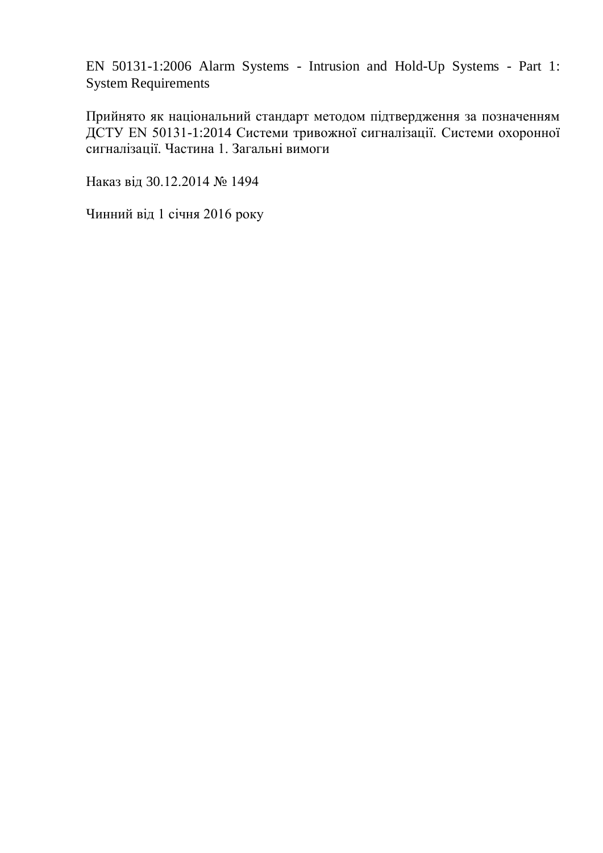EN 50131-1:2006 Alarm Systems - Intrusion and Hold-Up Systems - Part 1: System Requirements

Прийнято як національний стандарт методом підтвердження за позначенням ДСТУ EN 50131-1:2014 Системи тривожної сигналізації. Системи охоронної сигналізації. Частина 1. Загальні вимоги

Наказ від 30.12.2014 № 1494

Чинний від 1 січня 2016 року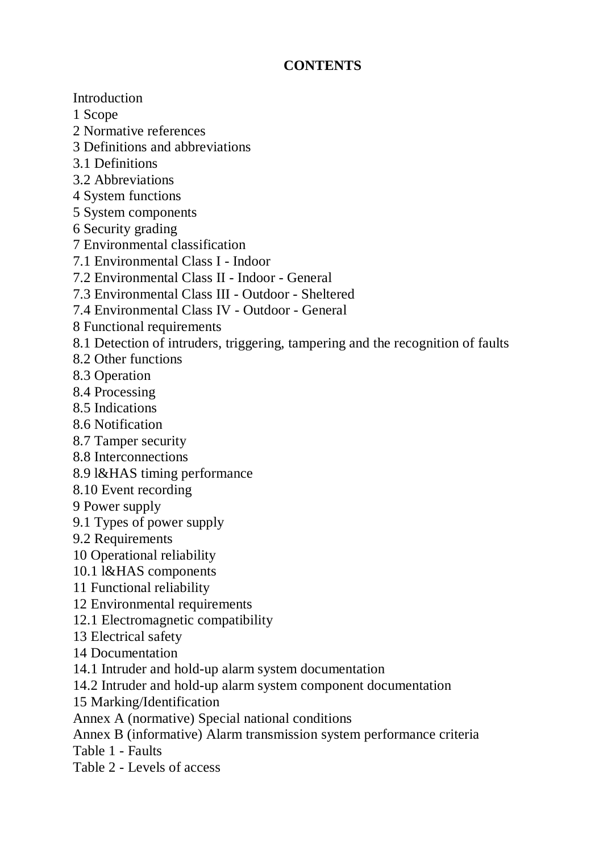## **CONTENTS**

Introduction

1 Scope

2 Normative references

- 3 Definitions and abbreviations
- 3.1 Definitions
- 3.2 Abbreviations
- 4 System functions
- 5 System components
- 6 Security grading
- 7 Environmental classification
- 7.1 Environmental Class I Indoor
- 7.2 Environmental Class II Indoor General
- 7.3 Environmental Class III Outdoor Sheltered
- 7.4 Environmental Class IV Outdoor General
- 8 Functional requirements
- 8.1 Detection of intruders, triggering, tampering and the recognition of faults
- 8.2 Other functions
- 8.3 Operation
- 8.4 Processing
- 8.5 Indications
- 8.6 Notification
- 8.7 Tamper security
- 8.8 Interconnections
- 8.9 l&HAS timing performance
- 8.10 Event recording
- 9 Power supply
- 9.1 Types of power supply
- 9.2 Requirements
- 10 Operational reliability
- 10.1 l&HAS components
- 11 Functional reliability
- 12 Environmental requirements
- 12.1 Electromagnetic compatibility
- 13 Electrical safety
- 14 Documentation
- 14.1 Intruder and hold-up alarm system documentation
- 14.2 Intruder and hold-up alarm system component documentation
- 15 Marking/Identification
- Annex A (normative) Special national conditions
- Annex B (informative) Alarm transmission system performance criteria
- Table 1 Faults
- Table 2 Levels of access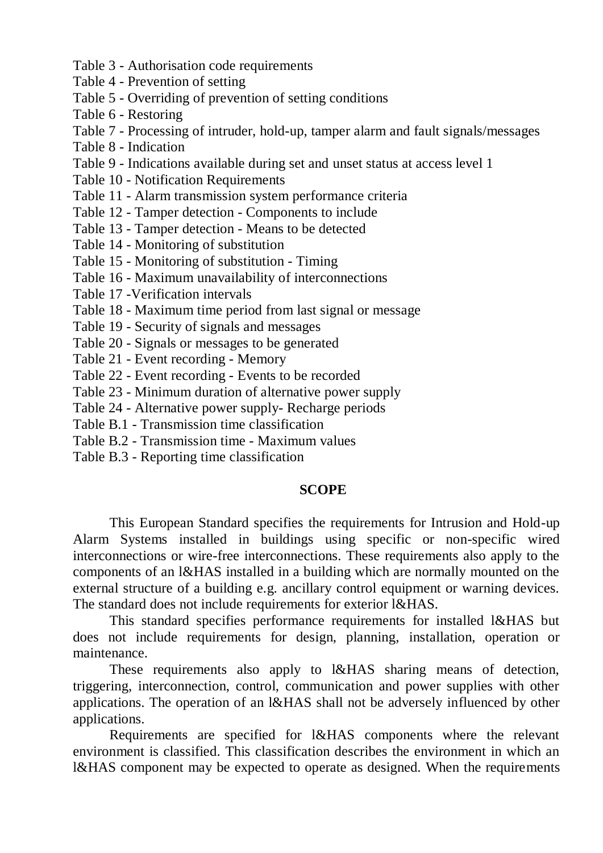- Table 3 Authorisation code requirements
- Table 4 Prevention of setting
- Table 5 Overriding of prevention of setting conditions
- Table 6 Restoring
- Table 7 Processing of intruder, hold-up, tamper alarm and fault signals/messages
- Table 8 Indication
- Table 9 Indications available during set and unset status at access level 1
- Table 10 Notification Requirements
- Table 11 Alarm transmission system performance criteria
- Table 12 Tamper detection Components to include
- Table 13 Tamper detection Means to be detected
- Table 14 Monitoring of substitution
- Table 15 Monitoring of substitution Timing
- Table 16 Maximum unavailability of interconnections
- Table 17 -Verification intervals
- Table 18 Maximum time period from last signal or message
- Table 19 Security of signals and messages
- Table 20 Signals or messages to be generated
- Table 21 Event recording Memory
- Table 22 Event recording Events to be recorded
- Table 23 Minimum duration of alternative power supply
- Table 24 Alternative power supply- Recharge periods
- Table B.1 Transmission time classification
- Table B.2 Transmission time Maximum values
- Table B.3 Reporting time classification

## **SCOPE**

This European Standard specifies the requirements for Intrusion and Hold-up Alarm Systems installed in buildings using specific or non-specific wired interconnections or wire-free interconnections. These requirements also apply to the components of an l&HAS installed in a building which are normally mounted on the external structure of a building e.g. ancillary control equipment or warning devices. The standard does not include requirements for exterior l&HAS.

This standard specifies performance requirements for installed l&HAS but does not include requirements for design, planning, installation, operation or maintenance.

These requirements also apply to l&HAS sharing means of detection, triggering, interconnection, control, communication and power supplies with other applications. The operation of an l&HAS shall not be adversely influenced by other applications.

Requirements are specified for l&HAS components where the relevant environment is classified. This classification describes the environment in which an l&HAS component may be expected to operate as designed. When the requirements